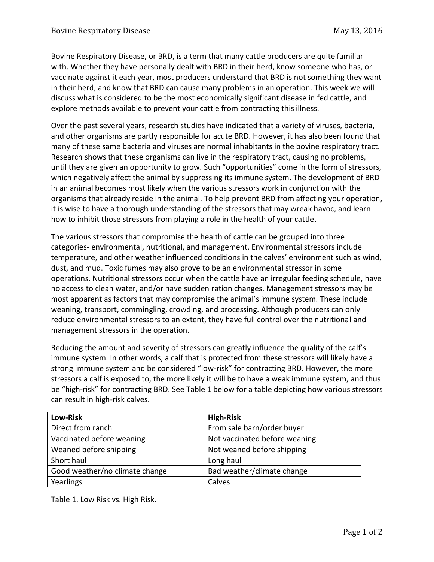Bovine Respiratory Disease, or BRD, is a term that many cattle producers are quite familiar with. Whether they have personally dealt with BRD in their herd, know someone who has, or vaccinate against it each year, most producers understand that BRD is not something they want in their herd, and know that BRD can cause many problems in an operation. This week we will discuss what is considered to be the most economically significant disease in fed cattle, and explore methods available to prevent your cattle from contracting this illness.

Over the past several years, research studies have indicated that a variety of viruses, bacteria, and other organisms are partly responsible for acute BRD. However, it has also been found that many of these same bacteria and viruses are normal inhabitants in the bovine respiratory tract. Research shows that these organisms can live in the respiratory tract, causing no problems, until they are given an opportunity to grow. Such "opportunities" come in the form of stressors, which negatively affect the animal by suppressing its immune system. The development of BRD in an animal becomes most likely when the various stressors work in conjunction with the organisms that already reside in the animal. To help prevent BRD from affecting your operation, it is wise to have a thorough understanding of the stressors that may wreak havoc, and learn how to inhibit those stressors from playing a role in the health of your cattle.

The various stressors that compromise the health of cattle can be grouped into three categories- environmental, nutritional, and management. Environmental stressors include temperature, and other weather influenced conditions in the calves' environment such as wind, dust, and mud. Toxic fumes may also prove to be an environmental stressor in some operations. Nutritional stressors occur when the cattle have an irregular feeding schedule, have no access to clean water, and/or have sudden ration changes. Management stressors may be most apparent as factors that may compromise the animal's immune system. These include weaning, transport, commingling, crowding, and processing. Although producers can only reduce environmental stressors to an extent, they have full control over the nutritional and management stressors in the operation.

Reducing the amount and severity of stressors can greatly influence the quality of the calf's immune system. In other words, a calf that is protected from these stressors will likely have a strong immune system and be considered "low-risk" for contracting BRD. However, the more stressors a calf is exposed to, the more likely it will be to have a weak immune system, and thus be "high-risk" for contracting BRD. See Table 1 below for a table depicting how various stressors can result in high-risk calves.

| <b>Low-Risk</b>                | <b>High-Risk</b>              |
|--------------------------------|-------------------------------|
| Direct from ranch              | From sale barn/order buyer    |
| Vaccinated before weaning      | Not vaccinated before weaning |
| Weaned before shipping         | Not weaned before shipping    |
| Short haul                     | Long haul                     |
| Good weather/no climate change | Bad weather/climate change    |
| Yearlings                      | Calves                        |

Table 1. Low Risk vs. High Risk.